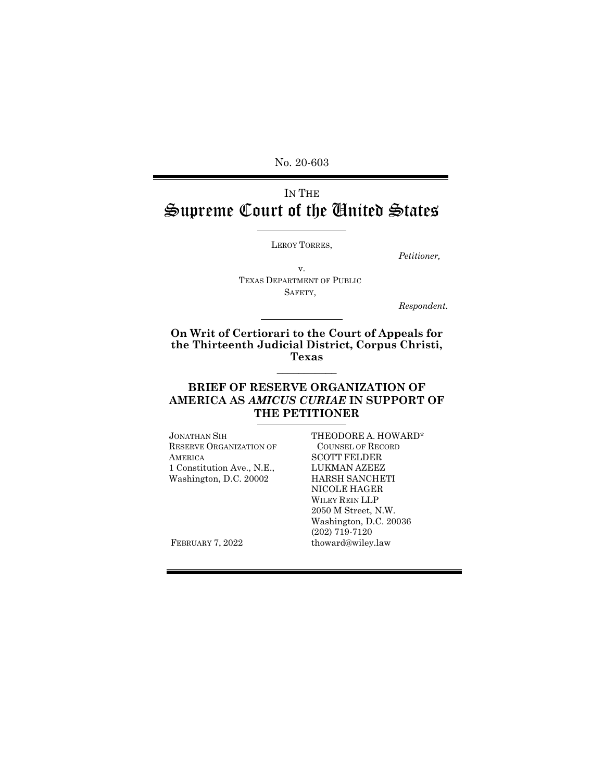No. 20-603

# IN THE Supreme Court of the United States

LEROY TORRES,

*Petitioner,*

v. TEXAS DEPARTMENT OF PUBLIC SAFETY,

*Respondent.*

#### **On Writ of Certiorari to the Court of Appeals for the Thirteenth Judicial District, Corpus Christi, Texas \_\_\_\_\_\_\_\_\_\_\_**

## **BRIEF OF RESERVE ORGANIZATION OF AMERICA AS** *AMICUS CURIAE* **IN SUPPORT OF THE PETITIONER**

JONATHAN SIH RESERVE ORGANIZATION OF **AMERICA** 1 Constitution Ave., N.E., Washington, D.C. 20002

THEODORE A. HOWARD\* COUNSEL OF RECORD SCOTT FELDER LUKMAN AZEEZ HARSH SANCHETI NICOLE HAGER WILEY REIN LLP 2050 M Street, N.W. Washington, D.C. 20036 (202) 719-7120 [thoward@wiley.law](mailto:thoward@wiley.law)

FEBRUARY 7, 2022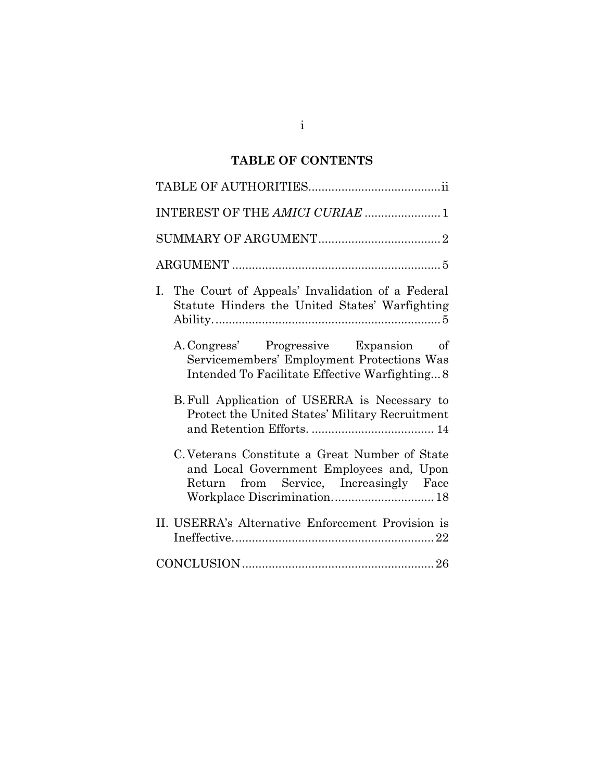# **TABLE OF CONTENTS**

| INTEREST OF THE AMICI CURIAE  1                                                                                                                                     |
|---------------------------------------------------------------------------------------------------------------------------------------------------------------------|
|                                                                                                                                                                     |
|                                                                                                                                                                     |
| The Court of Appeals' Invalidation of a Federal<br>Ι.<br>Statute Hinders the United States' Warfighting                                                             |
| A. Congress' Progressive Expansion of<br>Servicemembers' Employment Protections Was<br>Intended To Facilitate Effective Warfighting8                                |
| B. Full Application of USERRA is Necessary to<br>Protect the United States' Military Recruitment                                                                    |
| C. Veterans Constitute a Great Number of State<br>and Local Government Employees and, Upon<br>Return from Service, Increasingly Face<br>Workplace Discrimination 18 |
| II. USERRA's Alternative Enforcement Provision is                                                                                                                   |
|                                                                                                                                                                     |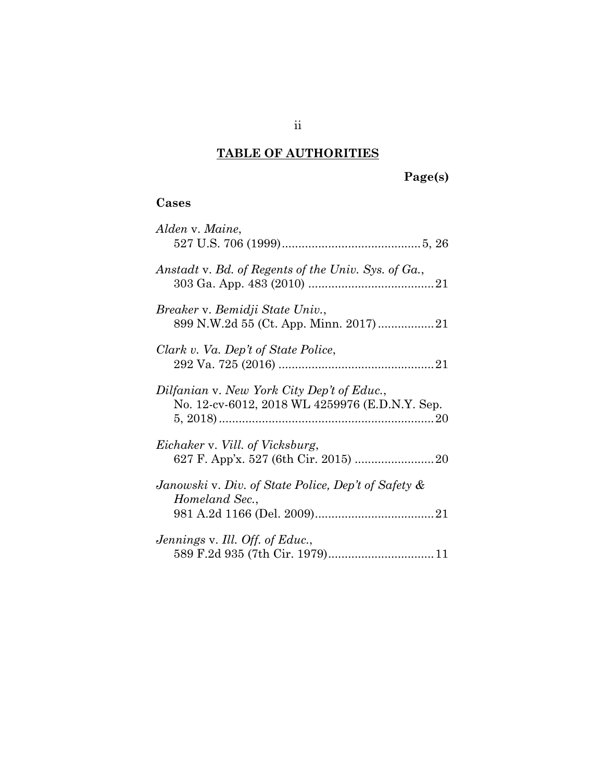# **TABLE OF AUTHORITIES**

## **Cases**

| Alden v. Maine,                                                                              |
|----------------------------------------------------------------------------------------------|
| Anstadt v. Bd. of Regents of the Univ. Sys. of Ga.,                                          |
| Breaker v. Bemidji State Univ.,                                                              |
| Clark v. Va. Dep't of State Police,                                                          |
| Dilfanian v. New York City Dep't of Educ.,<br>No. 12-cv-6012, 2018 WL 4259976 (E.D.N.Y. Sep. |
| Eichaker v. Vill. of Vicksburg,                                                              |
| Janowski v. Div. of State Police, Dep't of Safety &<br>Homeland Sec.,                        |
| Jennings v. Ill. Off. of Educ.,<br>589 F.2d 935 (7th Cir. 1979) 11                           |

ii

**Page(s)**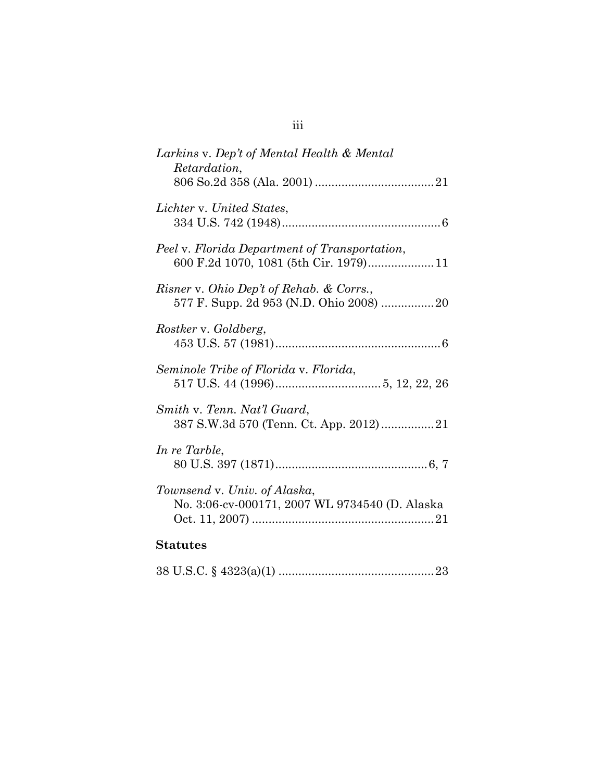| Larkins v. Dep't of Mental Health & Mental<br><i>Retardation,</i>                       |
|-----------------------------------------------------------------------------------------|
| Lichter v. United States,                                                               |
| Peel v. Florida Department of Transportation,<br>600 F.2d 1070, 1081 (5th Cir. 1979) 11 |
| Risner v. Ohio Dep't of Rehab. & Corrs.,                                                |
| Rostker v. Goldberg,                                                                    |
| Seminole Tribe of Florida v. Florida,                                                   |
| Smith v. Tenn. Nat'l Guard,                                                             |
| In re Tarble,                                                                           |
| Townsend v. Univ. of Alaska,<br>No. 3:06-cv-000171, 2007 WL 9734540 (D. Alaska          |
| <b>Statutes</b>                                                                         |

38 U.S.C. § 4323(a)(1) ..............................................[.23](#page-32-0)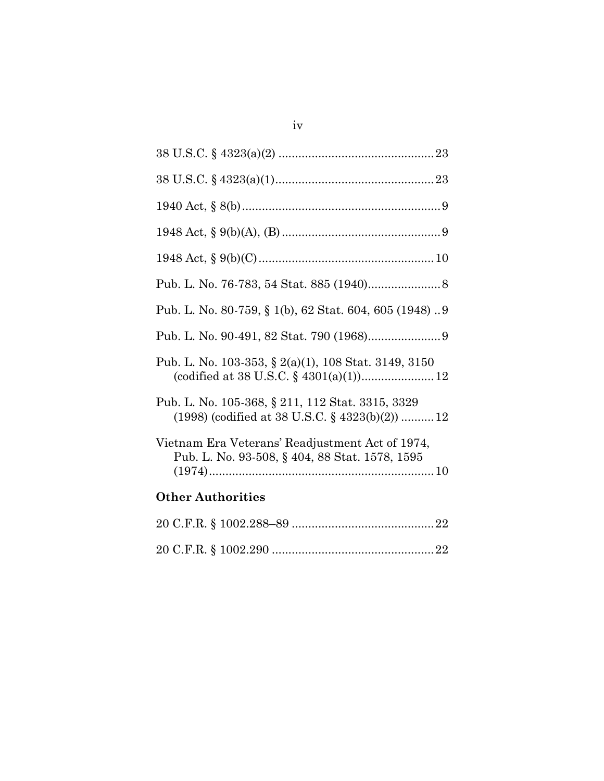| Pub. L. No. 80-759, § 1(b), 62 Stat. 604, 605 (1948)9                                                |
|------------------------------------------------------------------------------------------------------|
|                                                                                                      |
| Pub. L. No. 103-353, § 2(a)(1), 108 Stat. 3149, 3150                                                 |
| Pub. L. No. 105-368, § 211, 112 Stat. 3315, 3329<br>$(1998)$ (codified at 38 U.S.C. § 4323(b)(2)) 12 |
| Vietnam Era Veterans' Readjustment Act of 1974,<br>Pub. L. No. 93-508, § 404, 88 Stat. 1578, 1595    |
| <b>Other Authorities</b>                                                                             |
|                                                                                                      |
|                                                                                                      |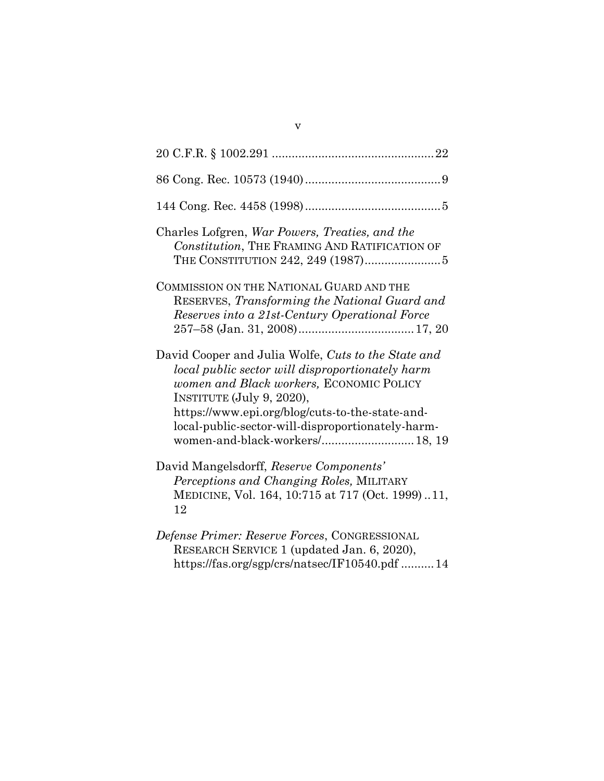| Charles Lofgren, War Powers, Treaties, and the<br>Constitution, THE FRAMING AND RATIFICATION OF                                                                                                                                                                                                                             |
|-----------------------------------------------------------------------------------------------------------------------------------------------------------------------------------------------------------------------------------------------------------------------------------------------------------------------------|
| COMMISSION ON THE NATIONAL GUARD AND THE<br>RESERVES, Transforming the National Guard and<br>Reserves into a 21st-Century Operational Force                                                                                                                                                                                 |
| David Cooper and Julia Wolfe, Cuts to the State and<br>local public sector will disproportionately harm<br>women and Black workers, ECONOMIC POLICY<br>INSTITUTE (July 9, 2020),<br>https://www.epi.org/blog/cuts-to-the-state-and-<br>local-public-sector-will-disproportionately-harm-<br>women-and-black-workers/ 18, 19 |
| David Mangelsdorff, Reserve Components'<br>Perceptions and Changing Roles, MILITARY<br>MEDICINE, Vol. 164, 10:715 at 717 (Oct. 1999)11,<br>12                                                                                                                                                                               |
| Defense Primer: Reserve Forces, CONGRESSIONAL<br>RESEARCH SERVICE 1 (updated Jan. 6, 2020),<br>https://fas.org/sgp/crs/natsec/IF10540.pdf 14                                                                                                                                                                                |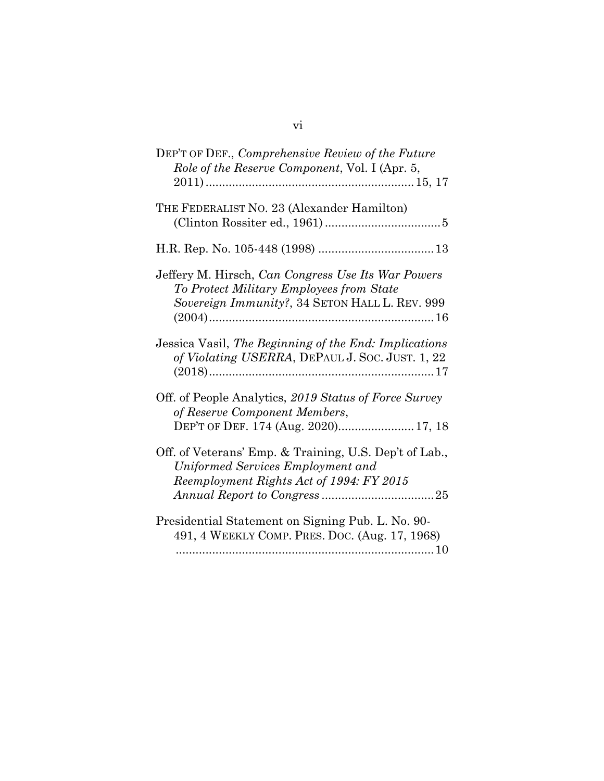| DEP'T OF DEF., Comprehensive Review of the Future<br>Role of the Reserve Component, Vol. I (Apr. 5,                                              |
|--------------------------------------------------------------------------------------------------------------------------------------------------|
| THE FEDERALIST NO. 23 (Alexander Hamilton)                                                                                                       |
|                                                                                                                                                  |
| Jeffery M. Hirsch, Can Congress Use Its War Powers<br>To Protect Military Employees from State<br>Sovereign Immunity?, 34 SETON HALL L. REV. 999 |
| Jessica Vasil, The Beginning of the End: Implications<br>of Violating USERRA, DEPAUL J. Soc. JUST. 1, 22                                         |
| Off. of People Analytics, 2019 Status of Force Survey<br>of Reserve Component Members,<br>DEP'T OF DEF. 174 (Aug. 2020) 17, 18                   |
| Off. of Veterans' Emp. & Training, U.S. Dep't of Lab.,<br>Uniformed Services Employment and<br>Reemployment Rights Act of 1994: FY 2015          |
| Presidential Statement on Signing Pub. L. No. 90-<br>491, 4 WEEKLY COMP. PRES. DOC. (Aug. 17, 1968)                                              |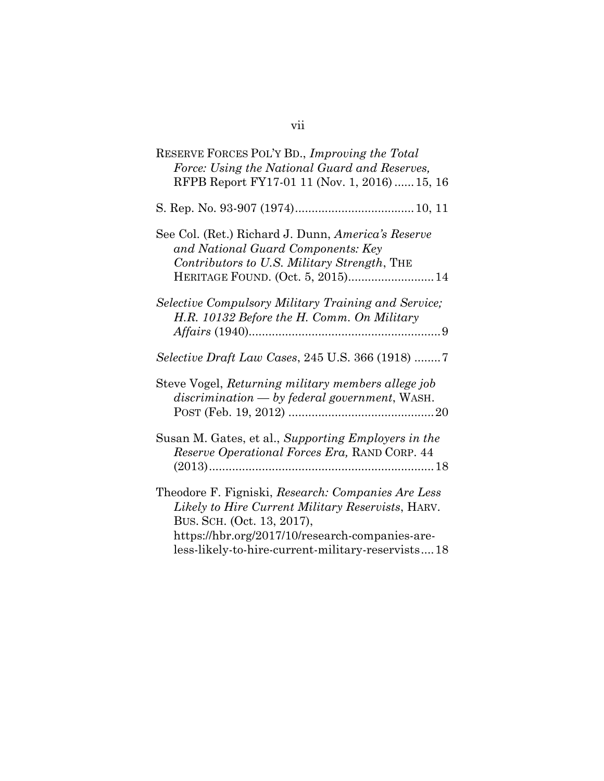| RESERVE FORCES POL'Y BD., Improving the Total<br>Force: Using the National Guard and Reserves,<br>RFPB Report FY17-01 11 (Nov. 1, 2016)  15, 16                                                                                               |
|-----------------------------------------------------------------------------------------------------------------------------------------------------------------------------------------------------------------------------------------------|
|                                                                                                                                                                                                                                               |
| See Col. (Ret.) Richard J. Dunn, America's Reserve<br>and National Guard Components: Key<br>Contributors to U.S. Military Strength, THE<br>HERITAGE FOUND. (Oct. 5, 2015) 14                                                                  |
| Selective Compulsory Military Training and Service;<br>H.R. 10132 Before the H. Comm. On Military                                                                                                                                             |
| <i>Selective Draft Law Cases, 245 U.S. 366 (1918) 7</i>                                                                                                                                                                                       |
| Steve Vogel, Returning military members allege job<br>discrimination - by federal government, WASH.                                                                                                                                           |
| Susan M. Gates, et al., Supporting Employers in the<br>Reserve Operational Forces Era, RAND CORP. 44                                                                                                                                          |
| Theodore F. Figniski, Research: Companies Are Less<br>Likely to Hire Current Military Reservists, HARV.<br>BUS. SCH. (Oct. 13, 2017),<br>https://hbr.org/2017/10/research-companies-are-<br>less-likely-to-hire-current-military-reservists18 |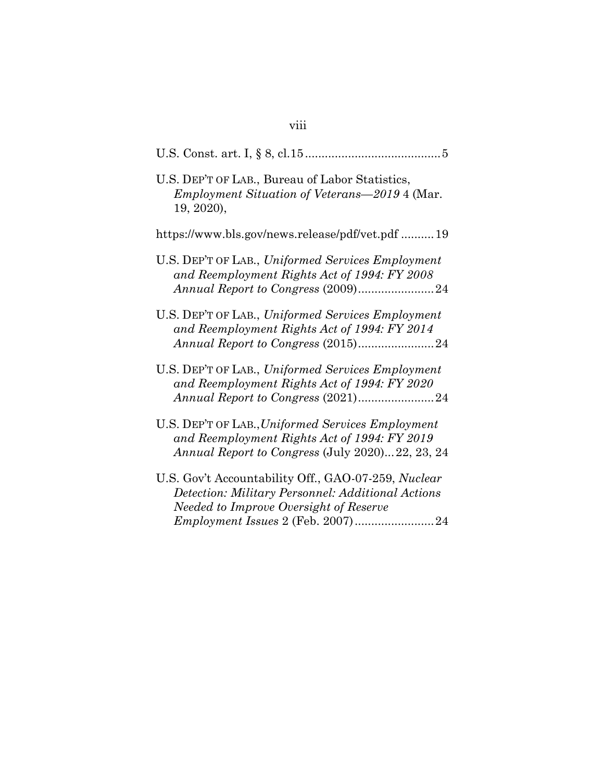| U.S. DEP'T OF LAB., Bureau of Labor Statistics,<br><i>Employment Situation of Veterans</i> —2019 4 (Mar.<br>19, 2020),                               |
|------------------------------------------------------------------------------------------------------------------------------------------------------|
| https://www.bls.gov/news.release/pdf/vet.pdf 19                                                                                                      |
| U.S. DEP'T OF LAB., Uniformed Services Employment<br>and Reemployment Rights Act of 1994: FY 2008<br>Annual Report to Congress (2009)24              |
| U.S. DEP'T OF LAB., Uniformed Services Employment<br>and Reemployment Rights Act of 1994: FY 2014                                                    |
| U.S. DEP'T OF LAB., Uniformed Services Employment<br>and Reemployment Rights Act of 1994: FY 2020<br>Annual Report to Congress (2021)24              |
| U.S. DEP'T OF LAB., Uniformed Services Employment<br>and Reemployment Rights Act of 1994: FY 2019<br>Annual Report to Congress (July 2020)22, 23, 24 |
| U.S. Gov't Accountability Off., GAO-07-259, Nuclear<br>Detection: Military Personnel: Additional Actions<br>Needed to Improve Oversight of Reserve   |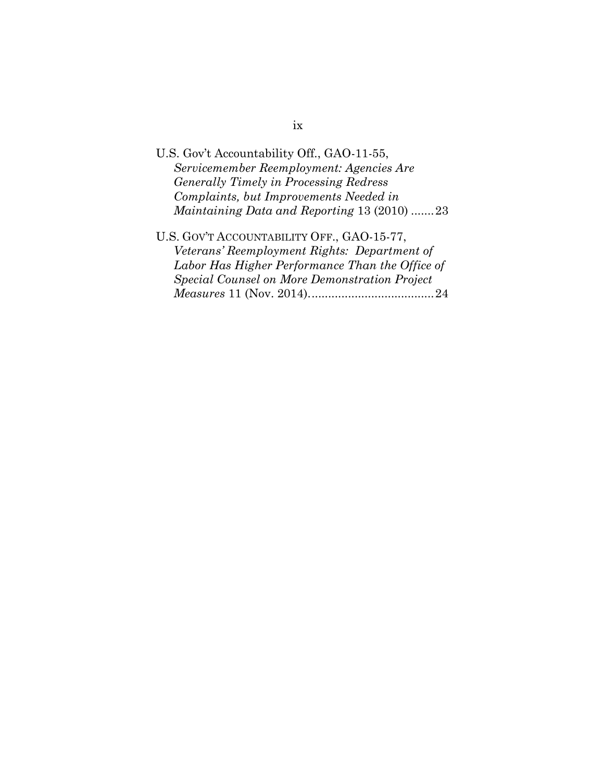| U.S. Gov't Accountability Off., GAO-11-55,         |
|----------------------------------------------------|
| Servicemember Reemployment: Agencies Are           |
| Generally Timely in Processing Redress             |
| Complaints, but Improvements Needed in             |
| <i>Maintaining Data and Reporting 13 (2010) 23</i> |
| U.S. GOV'T ACCOUNTABILITY OFF., GAO-15-77,         |
| Veterans' Reemployment Rights: Department of       |
|                                                    |

*Labor Has Higher Performance Than the Office of Special Counsel on More Demonstration Project Measures* 11 (Nov. 2014).....................................[.24](#page-32-4)

## ix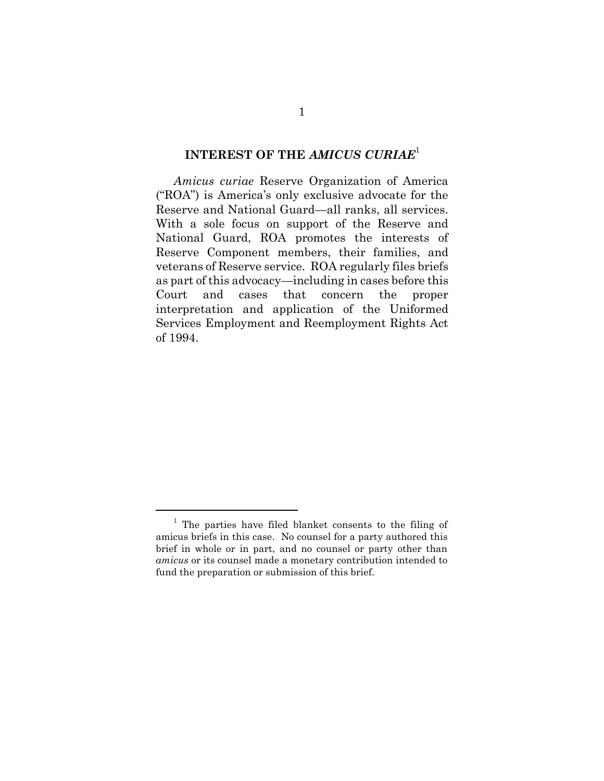## **INTEREST OF THE** *AMICUS CURIAE*<sup>1</sup>

*Amicus curiae* Reserve Organization of America ("ROA") is America's only exclusive advocate for the Reserve and National Guard—all ranks, all services. With a sole focus on support of the Reserve and National Guard, ROA promotes the interests of Reserve Component members, their families, and veterans of Reserve service. ROA regularly files briefs as part of this advocacy—including in cases before this Court and cases that concern the proper interpretation and application of the Uniformed Services Employment and Reemployment Rights Act of 1994.

<sup>&</sup>lt;sup>1</sup> The parties have filed blanket consents to the filing of amicus briefs in this case. No counsel for a party authored this brief in whole or in part, and no counsel or party other than *amicus* or its counsel made a monetary contribution intended to fund the preparation or submission of this brief.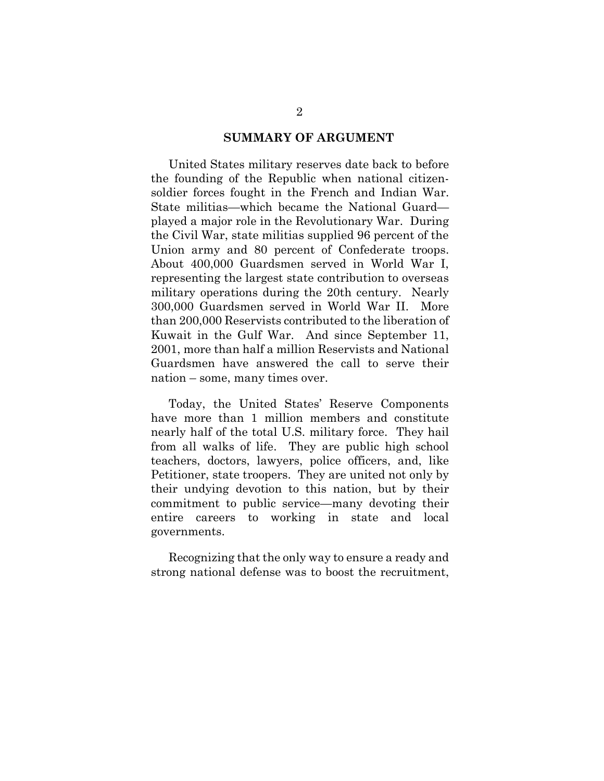#### **SUMMARY OF ARGUMENT**

United States military reserves date back to before the founding of the Republic when national citizensoldier forces fought in the French and Indian War. State militias—which became the National Guard played a major role in the Revolutionary War. During the Civil War, state militias supplied 96 percent of the Union army and 80 percent of Confederate troops. About 400,000 Guardsmen served in World War I, representing the largest state contribution to overseas military operations during the 20th century. Nearly 300,000 Guardsmen served in World War II. More than 200,000 Reservists contributed to the liberation of Kuwait in the Gulf War. And since September 11, 2001, more than half a million Reservists and National Guardsmen have answered the call to serve their nation – some, many times over.

Today, the United States' Reserve Components have more than 1 million members and constitute nearly half of the total U.S. military force. They hail from all walks of life. They are public high school teachers, doctors, lawyers, police officers, and, like Petitioner, state troopers. They are united not only by their undying devotion to this nation, but by their commitment to public service—many devoting their entire careers to working in state and local governments.

Recognizing that the only way to ensure a ready and strong national defense was to boost the recruitment,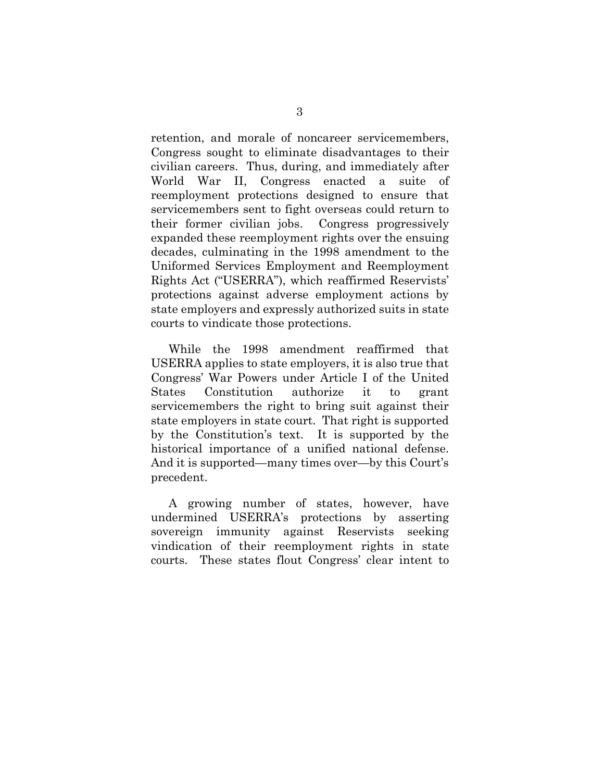retention, and morale of noncareer servicemembers, Congress sought to eliminate disadvantages to their civilian careers. Thus, during, and immediately after World War II, Congress enacted a suite of reemployment protections designed to ensure that servicemembers sent to fight overseas could return to their former civilian jobs. Congress progressively expanded these reemployment rights over the ensuing decades, culminating in the 1998 amendment to the Uniformed Services Employment and Reemployment Rights Act ("USERRA"), which reaffirmed Reservists' protections against adverse employment actions by state employers and expressly authorized suits in state courts to vindicate those protections.

While the 1998 amendment reaffirmed that USERRA applies to state employers, it is also true that Congress' War Powers under Article I of the United States Constitution authorize it to grant servicemembers the right to bring suit against their state employers in state court. That right is supported by the Constitution's text. It is supported by the historical importance of a unified national defense. And it is supported—many times over—by this Court's precedent.

A growing number of states, however, have undermined USERRA's protections by asserting sovereign immunity against Reservists seeking vindication of their reemployment rights in state courts. These states flout Congress' clear intent to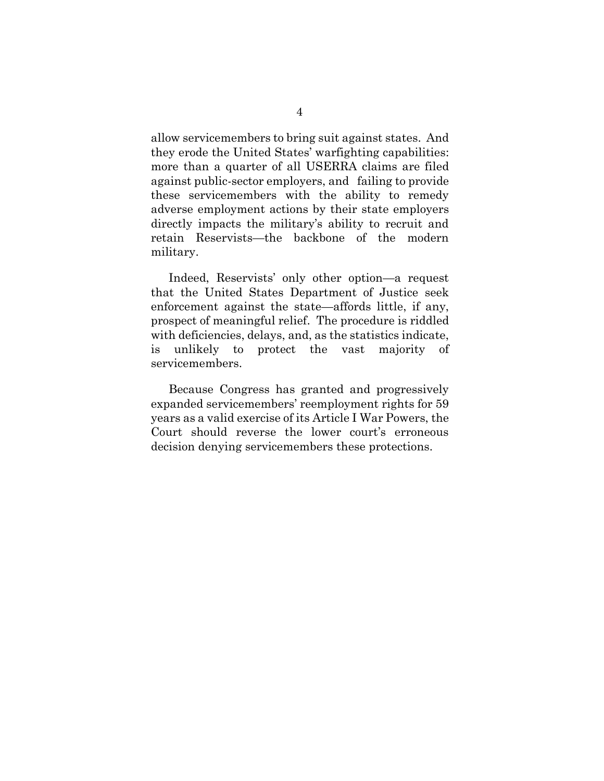allow servicemembers to bring suit against states. And they erode the United States' warfighting capabilities: more than a quarter of all USERRA claims are filed against public-sector employers, and failing to provide these servicemembers with the ability to remedy adverse employment actions by their state employers directly impacts the military's ability to recruit and retain Reservists—the backbone of the modern military.

Indeed, Reservists' only other option—a request that the United States Department of Justice seek enforcement against the state—affords little, if any, prospect of meaningful relief. The procedure is riddled with deficiencies, delays, and, as the statistics indicate, is unlikely to protect the vast majority of servicemembers.

Because Congress has granted and progressively expanded servicemembers' reemployment rights for 59 years as a valid exercise of its Article I War Powers, the Court should reverse the lower court's erroneous decision denying servicemembers these protections.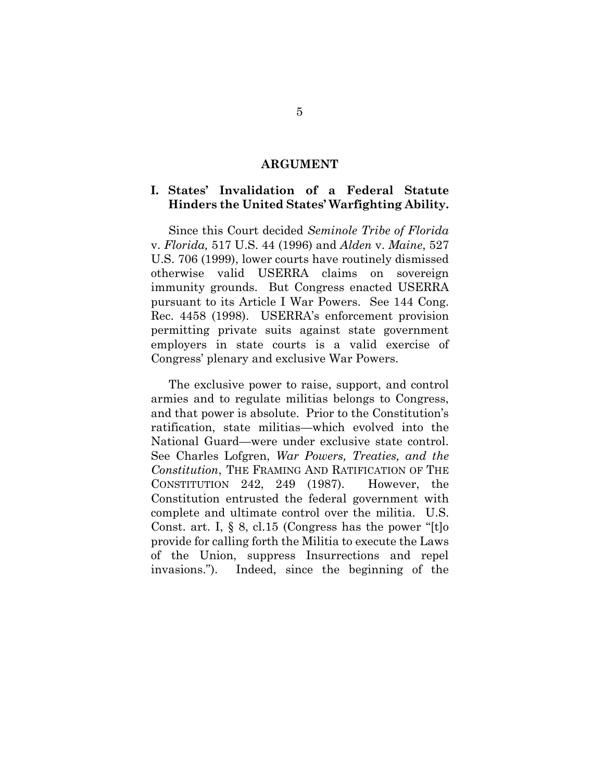#### <span id="page-14-2"></span><span id="page-14-1"></span><span id="page-14-0"></span>**ARGUMENT**

### **I. States' Invalidation of a Federal Statute Hinders the United States' Warfighting Ability.**

Since this Court decided *Seminole Tribe of Florida*  v. *Florida,* 517 U.S. 44 (1996) and *Alden* v. *Maine*, 527 U.S. 706 (1999), lower courts have routinely dismissed otherwise valid USERRA claims on sovereign immunity grounds. But Congress enacted USERRA pursuant to its Article I War Powers. See 144 Cong. Rec. 4458 (1998). USERRA's enforcement provision permitting private suits against state government employers in state courts is a valid exercise of Congress' plenary and exclusive War Powers.

<span id="page-14-4"></span><span id="page-14-3"></span>The exclusive power to raise, support, and control armies and to regulate militias belongs to Congress, and that power is absolute. Prior to the Constitution's ratification, state militias—which evolved into the National Guard—were under exclusive state control. See Charles Lofgren, *War Powers, Treaties, and the Constitution*, THE FRAMING AND RATIFICATION OF THE CONSTITUTION 242, 249 (1987). However, the Constitution entrusted the federal government with complete and ultimate control over the militia. U.S. Const. art. I, § 8, cl.15 (Congress has the power "[t]o provide for calling forth the Militia to execute the Laws of the Union, suppress Insurrections and repel invasions."). Indeed, since the beginning of the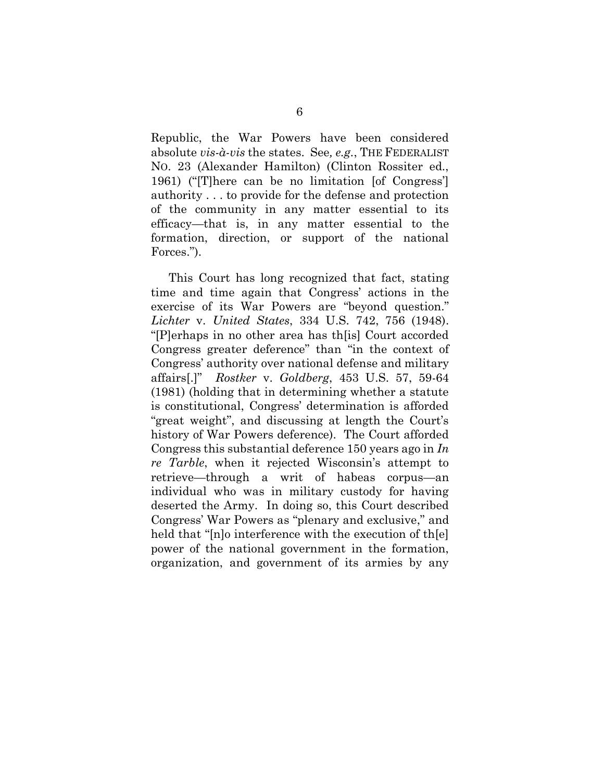<span id="page-15-3"></span>Republic, the War Powers have been considered absolute *vis-à-vis* the states. See*, e.g.*, THE FEDERALIST NO. 23 (Alexander Hamilton) (Clinton Rossiter ed., 1961) ("[T]here can be no limitation [of Congress'] authority . . . to provide for the defense and protection of the community in any matter essential to its efficacy—that is, in any matter essential to the formation, direction, or support of the national Forces.").

<span id="page-15-2"></span><span id="page-15-1"></span><span id="page-15-0"></span>This Court has long recognized that fact, stating time and time again that Congress' actions in the exercise of its War Powers are "beyond question." *Lichter* v. *United States*, 334 U.S. 742, 756 (1948). "[P]erhaps in no other area has th[is] Court accorded Congress greater deference" than "in the context of Congress' authority over national defense and military affairs[.]" *Rostker* v. *Goldberg*, 453 U.S. 57, 59-64 (1981) (holding that in determining whether a statute is constitutional, Congress' determination is afforded "great weight", and discussing at length the Court's history of War Powers deference). The Court afforded Congress this substantial deference 150 years ago in *In re Tarble*, when it rejected Wisconsin's attempt to retrieve—through a writ of habeas corpus—an individual who was in military custody for having deserted the Army. In doing so, this Court described Congress' War Powers as "plenary and exclusive," and held that "[n]o interference with the execution of th[e] power of the national government in the formation, organization, and government of its armies by any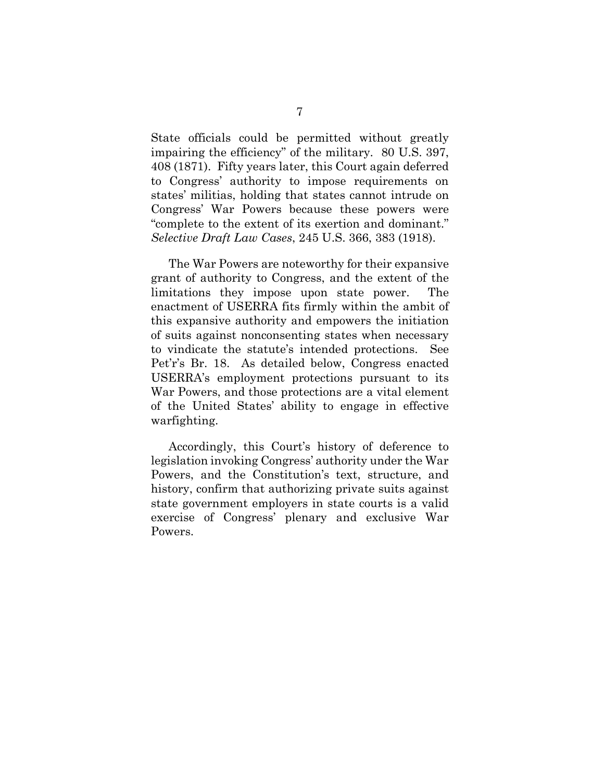<span id="page-16-0"></span>State officials could be permitted without greatly impairing the efficiency" of the military. 80 U.S. 397, 408 (1871). Fifty years later, this Court again deferred to Congress' authority to impose requirements on states' militias, holding that states cannot intrude on Congress' War Powers because these powers were "complete to the extent of its exertion and dominant." *Selective Draft Law Cases*, 245 U.S. 366, 383 (1918).

<span id="page-16-1"></span>The War Powers are noteworthy for their expansive grant of authority to Congress, and the extent of the limitations they impose upon state power. The enactment of USERRA fits firmly within the ambit of this expansive authority and empowers the initiation of suits against nonconsenting states when necessary to vindicate the statute's intended protections. See Pet'r's Br. 18. As detailed below, Congress enacted USERRA's employment protections pursuant to its War Powers, and those protections are a vital element of the United States' ability to engage in effective warfighting.

Accordingly, this Court's history of deference to legislation invoking Congress' authority under the War Powers, and the Constitution's text, structure, and history, confirm that authorizing private suits against state government employers in state courts is a valid exercise of Congress' plenary and exclusive War Powers.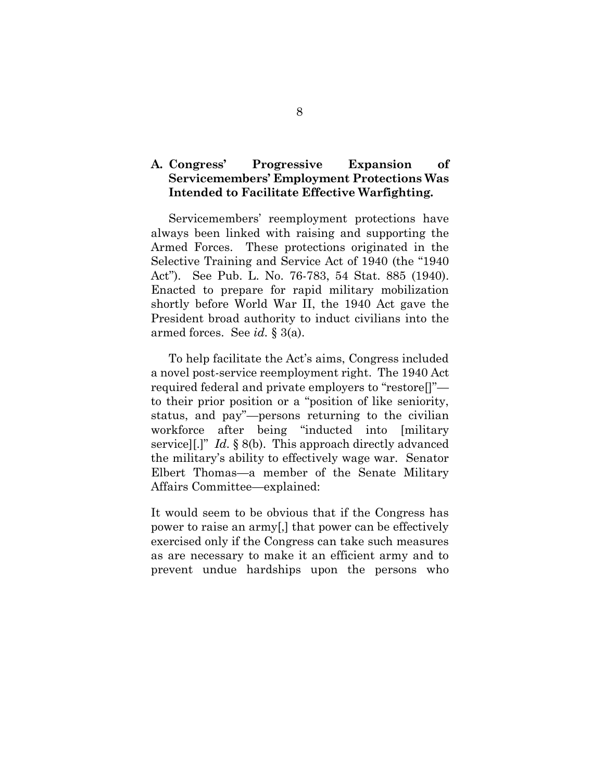## **A. Congress' Progressive Expansion of Servicemembers' Employment Protections Was Intended to Facilitate Effective Warfighting.**

<span id="page-17-0"></span>Servicemembers' reemployment protections have always been linked with raising and supporting the Armed Forces. These protections originated in the Selective Training and Service Act of 1940 (the "1940 Act"). See Pub. L. No. 76-783, 54 Stat. 885 (1940). Enacted to prepare for rapid military mobilization shortly before World War II, the 1940 Act gave the President broad authority to induct civilians into the armed forces. See *id.* § 3(a).

To help facilitate the Act's aims, Congress included a novel post-service reemployment right. The 1940 Act required federal and private employers to "restore[]" to their prior position or a "position of like seniority, status, and pay"—persons returning to the civilian workforce after being "inducted into [military service][.]" *Id.* § 8(b). This approach directly advanced the military's ability to effectively wage war. Senator Elbert Thomas—a member of the Senate Military Affairs Committee—explained:

It would seem to be obvious that if the Congress has power to raise an army[,] that power can be effectively exercised only if the Congress can take such measures as are necessary to make it an efficient army and to prevent undue hardships upon the persons who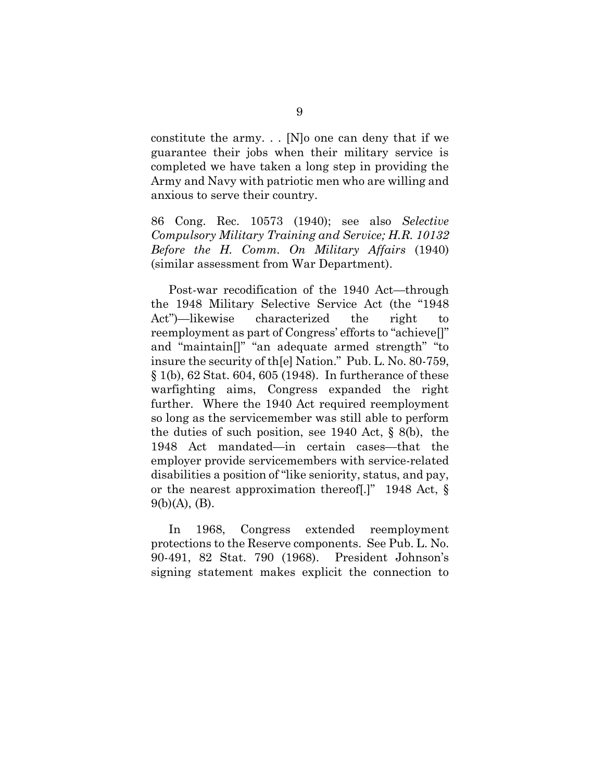constitute the army. . . [N]o one can deny that if we guarantee their jobs when their military service is completed we have taken a long step in providing the Army and Navy with patriotic men who are willing and anxious to serve their country.

<span id="page-18-5"></span><span id="page-18-4"></span>86 Cong. Rec. 10573 (1940); see also *Selective Compulsory Military Training and Service; H.R. 10132 Before the H. Comm. On Military Affairs* (1940) (similar assessment from War Department).

<span id="page-18-2"></span>Post-war recodification of the 1940 Act—through the 1948 Military Selective Service Act (the "1948 Act")—likewise characterized the right to reemployment as part of Congress' efforts to "achieve[]" and "maintain[]" "an adequate armed strength" "to insure the security of th[e] Nation." Pub. L. No. 80-759, § 1(b), 62 Stat. 604, 605 (1948). In furtherance of these warfighting aims, Congress expanded the right further. Where the 1940 Act required reemployment so long as the servicemember was still able to perform the duties of such position, see 1940 Act, § 8(b), the 1948 Act mandated—in certain cases—that the employer provide servicemembers with service-related disabilities a position of "like seniority, status, and pay, or the nearest approximation thereof[.]" 1948 Act, § 9(b)(A), (B).

<span id="page-18-3"></span><span id="page-18-1"></span><span id="page-18-0"></span>In 1968, Congress extended reemployment protections to the Reserve components. See Pub. L. No. 90-491, 82 Stat. 790 (1968). President Johnson's signing statement makes explicit the connection to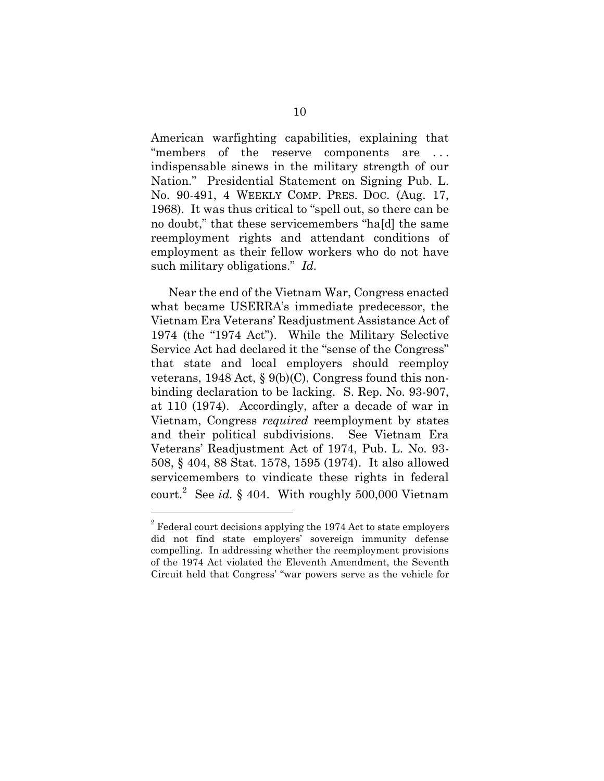<span id="page-19-2"></span>American warfighting capabilities, explaining that "members of the reserve components are . . . indispensable sinews in the military strength of our Nation." Presidential Statement on Signing Pub. L. No. 90-491, 4 WEEKLY COMP. PRES. DOC. (Aug. 17, 1968). It was thus critical to "spell out, so there can be no doubt," that these servicemembers "ha[d] the same reemployment rights and attendant conditions of employment as their fellow workers who do not have such military obligations." *Id.*

<span id="page-19-3"></span><span id="page-19-0"></span>Near the end of the Vietnam War, Congress enacted what became USERRA's immediate predecessor, the Vietnam Era Veterans' Readjustment Assistance Act of 1974 (the "1974 Act"). While the Military Selective Service Act had declared it the "sense of the Congress" that state and local employers should reemploy veterans, 1948 Act, § 9(b)(C), Congress found this nonbinding declaration to be lacking. S. Rep. No. 93-907, at 110 (1974). Accordingly, after a decade of war in Vietnam, Congress *required* reemployment by states and their political subdivisions. See Vietnam Era Veterans' Readjustment Act of 1974, Pub. L. No. 93- 508, § 404, 88 Stat. 1578, 1595 (1974). It also allowed servicemembers to vindicate these rights in federal court. 2 See *id.* § 404. With roughly 500,000 Vietnam

<span id="page-19-1"></span> $2^2$  Federal court decisions applying the 1974 Act to state employers did not find state employers' sovereign immunity defense compelling. In addressing whether the reemployment provisions of the 1974 Act violated the Eleventh Amendment, the Seventh Circuit held that Congress' "war powers serve as the vehicle for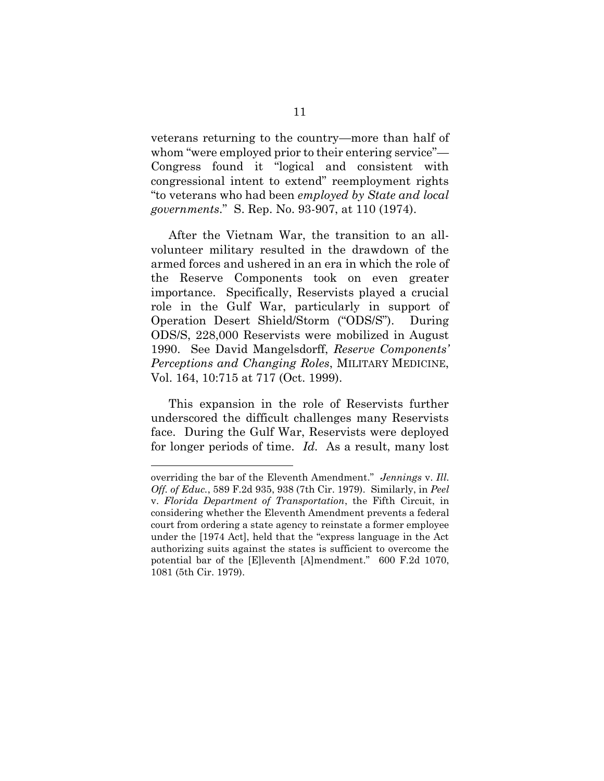veterans returning to the country—more than half of whom "were employed prior to their entering service"— Congress found it "logical and consistent with congressional intent to extend" reemployment rights "to veterans who had been *employed by State and local governments*." S. Rep. No. 93-907, at 110 (1974).

<span id="page-20-3"></span>After the Vietnam War, the transition to an allvolunteer military resulted in the drawdown of the armed forces and ushered in an era in which the role of the Reserve Components took on even greater importance. Specifically, Reservists played a crucial role in the Gulf War, particularly in support of Operation Desert Shield/Storm ("ODS/S"). During ODS/S, 228,000 Reservists were mobilized in August 1990. See David Mangelsdorff, *Reserve Components' Perceptions and Changing Roles*, MILITARY MEDICINE, Vol. 164, 10:715 at 717 (Oct. 1999).

<span id="page-20-2"></span>This expansion in the role of Reservists further underscored the difficult challenges many Reservists face. During the Gulf War, Reservists were deployed for longer periods of time. *Id.* As a result, many lost

<span id="page-20-1"></span><span id="page-20-0"></span>overriding the bar of the Eleventh Amendment." *Jennings* v. *Ill. Off. of Educ.*, 589 F.2d 935, 938 (7th Cir. 1979). Similarly, in *Peel*  v. *Florida Department of Transportation*, the Fifth Circuit, in considering whether the Eleventh Amendment prevents a federal court from ordering a state agency to reinstate a former employee under the [1974 Act], held that the "express language in the Act authorizing suits against the states is sufficient to overcome the potential bar of the [E]leventh [A]mendment." 600 F.2d 1070, 1081 (5th Cir. 1979).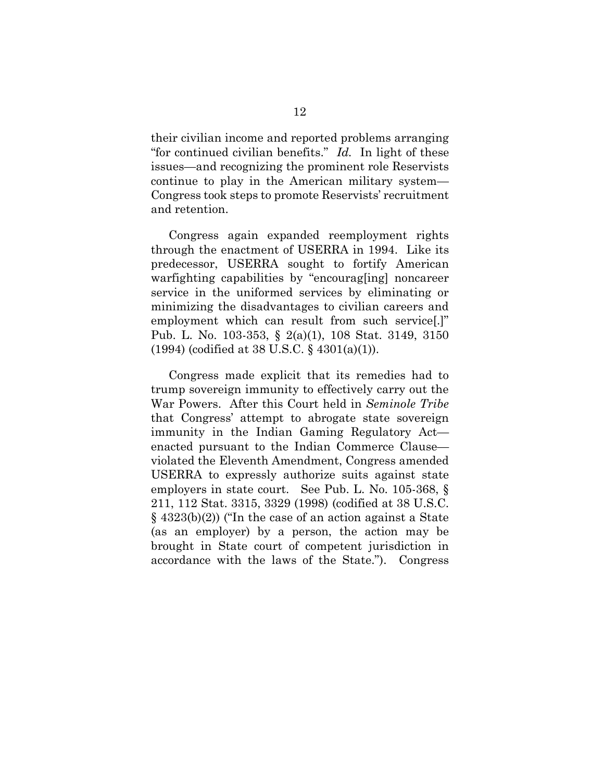<span id="page-21-3"></span>their civilian income and reported problems arranging "for continued civilian benefits." *Id.* In light of these issues—and recognizing the prominent role Reservists continue to play in the American military system— Congress took steps to promote Reservists' recruitment and retention.

Congress again expanded reemployment rights through the enactment of USERRA in 1994. Like its predecessor, USERRA sought to fortify American warfighting capabilities by "encourag[ing] noncareer service in the uniformed services by eliminating or minimizing the disadvantages to civilian careers and employment which can result from such service[.]" Pub. L. No. 103-353, § 2(a)(1), 108 Stat. 3149, 3150 (1994) (codified at 38 U.S.C. § 4301(a)(1)).

<span id="page-21-2"></span><span id="page-21-1"></span><span id="page-21-0"></span>Congress made explicit that its remedies had to trump sovereign immunity to effectively carry out the War Powers. After this Court held in *Seminole Tribe* that Congress' attempt to abrogate state sovereign immunity in the Indian Gaming Regulatory Act enacted pursuant to the Indian Commerce Clause violated the Eleventh Amendment, Congress amended USERRA to expressly authorize suits against state employers in state court. See Pub. L. No. 105-368, § 211, 112 Stat. 3315, 3329 (1998) (codified at 38 U.S.C. § 4323(b)(2)) ("In the case of an action against a State (as an employer) by a person, the action may be brought in State court of competent jurisdiction in accordance with the laws of the State."). Congress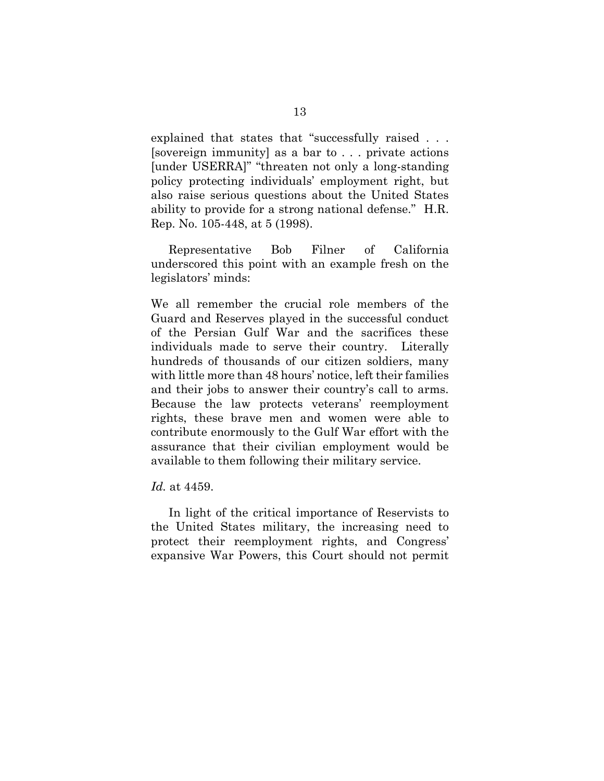explained that states that "successfully raised . . . [sovereign immunity] as a bar to . . . private actions [under USERRA]" "threaten not only a long-standing policy protecting individuals' employment right, but also raise serious questions about the United States ability to provide for a strong national defense." H.R. Rep. No. 105-448, at 5 (1998).

<span id="page-22-0"></span>Representative Bob Filner of California underscored this point with an example fresh on the legislators' minds:

We all remember the crucial role members of the Guard and Reserves played in the successful conduct of the Persian Gulf War and the sacrifices these individuals made to serve their country. Literally hundreds of thousands of our citizen soldiers, many with little more than 48 hours' notice, left their families and their jobs to answer their country's call to arms. Because the law protects veterans' reemployment rights, these brave men and women were able to contribute enormously to the Gulf War effort with the assurance that their civilian employment would be available to them following their military service.

#### *Id.* at 4459.

In light of the critical importance of Reservists to the United States military, the increasing need to protect their reemployment rights, and Congress' expansive War Powers, this Court should not permit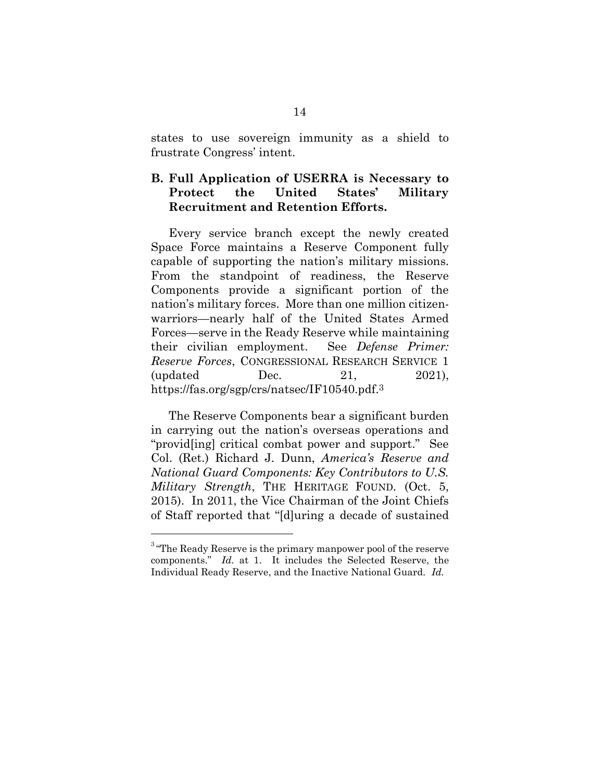states to use sovereign immunity as a shield to frustrate Congress' intent.

## **B. Full Application of USERRA is Necessary to Protect the United States' Military Recruitment and Retention Efforts.**

Every service branch except the newly created Space Force maintains a Reserve Component fully capable of supporting the nation's military missions. From the standpoint of readiness, the Reserve Components provide a significant portion of the nation's military forces. More than one million citizenwarriors—nearly half of the United States Armed Forces—serve in the Ready Reserve while maintaining their civilian employment. See *Defense Primer: Reserve Forces*, CONGRESSIONAL RESEARCH SERVICE 1 (updated Dec. 21, 2021), https://fas.org/sgp/crs/natsec/IF10540.pdf.<sup>3</sup>

<span id="page-23-1"></span><span id="page-23-0"></span>The Reserve Components bear a significant burden in carrying out the nation's overseas operations and "provid[ing] critical combat power and support." See Col. (Ret.) Richard J. Dunn, *America's Reserve and National Guard Components: Key Contributors to U.S. Military Strength*, THE HERITAGE FOUND. (Oct. 5, 2015). In 2011, the Vice Chairman of the Joint Chiefs of Staff reported that "[d]uring a decade of sustained

 $3\text{ }\text{``The }\text{Ready }$  Reserve is the primary manpower pool of the reserve components." *Id.* at 1. It includes the Selected Reserve, the Individual Ready Reserve, and the Inactive National Guard. *Id.*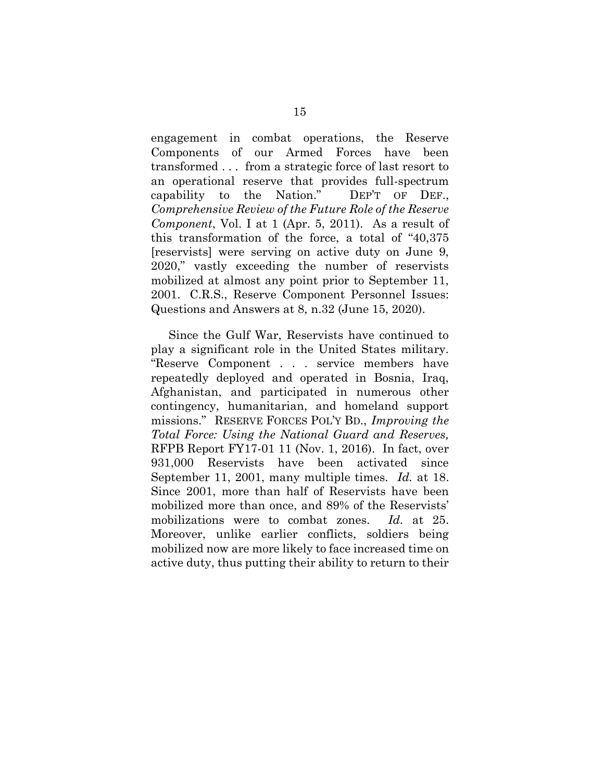<span id="page-24-0"></span>engagement in combat operations, the Reserve Components of our Armed Forces have been transformed . . . from a strategic force of last resort to an operational reserve that provides full-spectrum capability to the Nation." DEP'T OF DEF., *Comprehensive Review of the Future Role of the Reserve Component*, Vol. I at 1 (Apr. 5, 2011). As a result of this transformation of the force, a total of "40,375 [reservists] were serving on active duty on June 9, 2020," vastly exceeding the number of reservists mobilized at almost any point prior to September 11, 2001. C.R.S., Reserve Component Personnel Issues: Questions and Answers at 8, n.32 (June 15, 2020).

<span id="page-24-1"></span>Since the Gulf War, Reservists have continued to play a significant role in the United States military. "Reserve Component . . . service members have repeatedly deployed and operated in Bosnia, Iraq, Afghanistan, and participated in numerous other contingency, humanitarian, and homeland support missions." RESERVE FORCES POL'Y BD., *Improving the Total Force: Using the National Guard and Reserves,*  RFPB Report FY17-01 11 (Nov. 1, 2016). In fact, over 931,000 Reservists have been activated since September 11, 2001, many multiple times. *Id.* at 18. Since 2001, more than half of Reservists have been mobilized more than once, and 89% of the Reservists' mobilizations were to combat zones. *Id.* at 25. Moreover, unlike earlier conflicts, soldiers being mobilized now are more likely to face increased time on active duty, thus putting their ability to return to their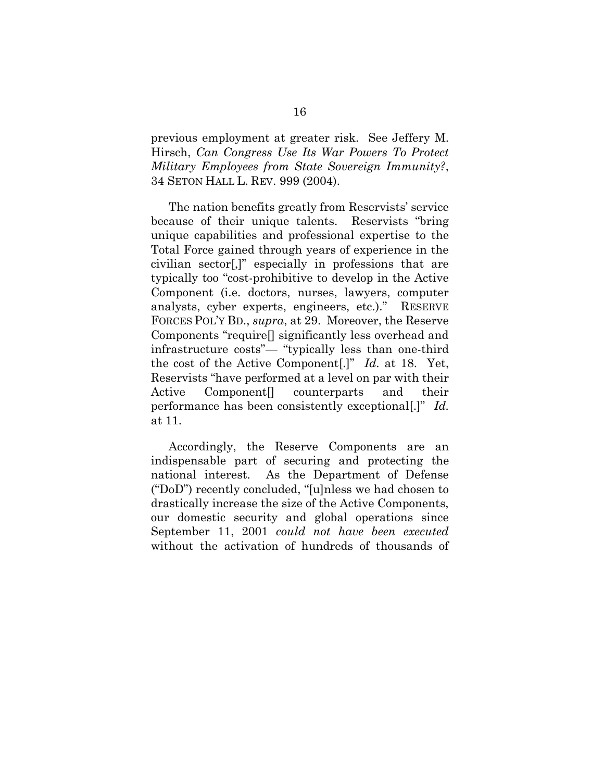<span id="page-25-0"></span>previous employment at greater risk. See Jeffery M. Hirsch, *Can Congress Use Its War Powers To Protect Military Employees from State Sovereign Immunity?*, 34 SETON HALL L. REV. 999 (2004).

<span id="page-25-1"></span>The nation benefits greatly from Reservists' service because of their unique talents. Reservists "bring unique capabilities and professional expertise to the Total Force gained through years of experience in the civilian sector[,]" especially in professions that are typically too "cost-prohibitive to develop in the Active Component (i.e. doctors, nurses, lawyers, computer analysts, cyber experts, engineers, etc.)." RESERVE FORCES POL'Y BD., *supra*, at 29. Moreover, the Reserve Components "require[] significantly less overhead and infrastructure costs"— "typically less than one-third the cost of the Active Component[.]" *Id.* at 18. Yet, Reservists "have performed at a level on par with their Active Component[] counterparts and their performance has been consistently exceptional[.]" *Id.* at 11.

Accordingly, the Reserve Components are an indispensable part of securing and protecting the national interest. As the Department of Defense ("DoD") recently concluded, "[u]nless we had chosen to drastically increase the size of the Active Components, our domestic security and global operations since September 11, 2001 *could not have been executed*  without the activation of hundreds of thousands of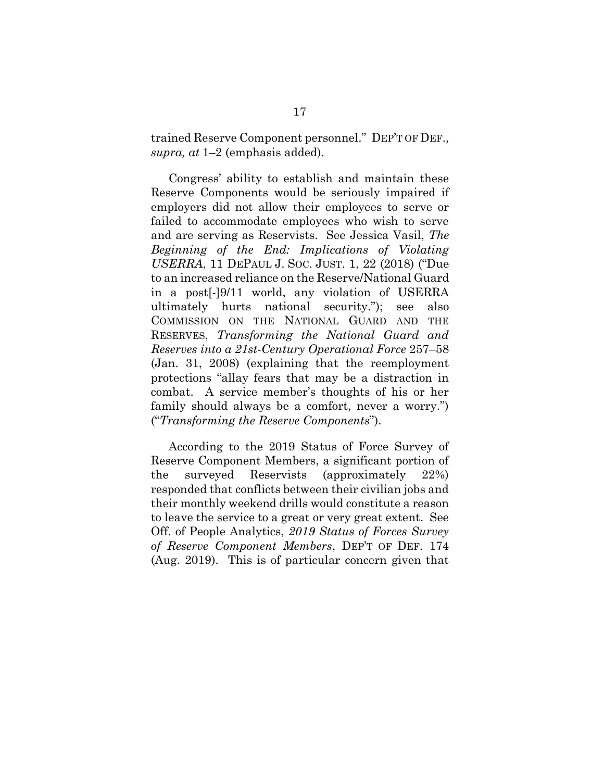<span id="page-26-1"></span>trained Reserve Component personnel." DEP'T OF DEF., *supra, at* 1–2 (emphasis added).

<span id="page-26-2"></span>Congress' ability to establish and maintain these Reserve Components would be seriously impaired if employers did not allow their employees to serve or failed to accommodate employees who wish to serve and are serving as Reservists. See Jessica Vasil, *The Beginning of the End: Implications of Violating USERRA*, 11 DEPAUL J. SOC. JUST. 1, 22 (2018) ("Due to an increased reliance on the Reserve/National Guard in a post[-]9/11 world, any violation of USERRA ultimately hurts national security."); see also COMMISSION ON THE NATIONAL GUARD AND THE RESERVES, *Transforming the National Guard and Reserves into a 21st-Century Operational Force* 257–58 (Jan. 31, 2008) (explaining that the reemployment protections "allay fears that may be a distraction in combat. A service member's thoughts of his or her family should always be a comfort, never a worry.") ("*Transforming the Reserve Components*").

<span id="page-26-3"></span><span id="page-26-0"></span>According to the 2019 Status of Force Survey of Reserve Component Members, a significant portion of the surveyed Reservists (approximately 22%) responded that conflicts between their civilian jobs and their monthly weekend drills would constitute a reason to leave the service to a great or very great extent. See Off. of People Analytics, *2019 Status of Forces Survey of Reserve Component Members*, DEP'T OF DEF. 174 (Aug. 2019). This is of particular concern given that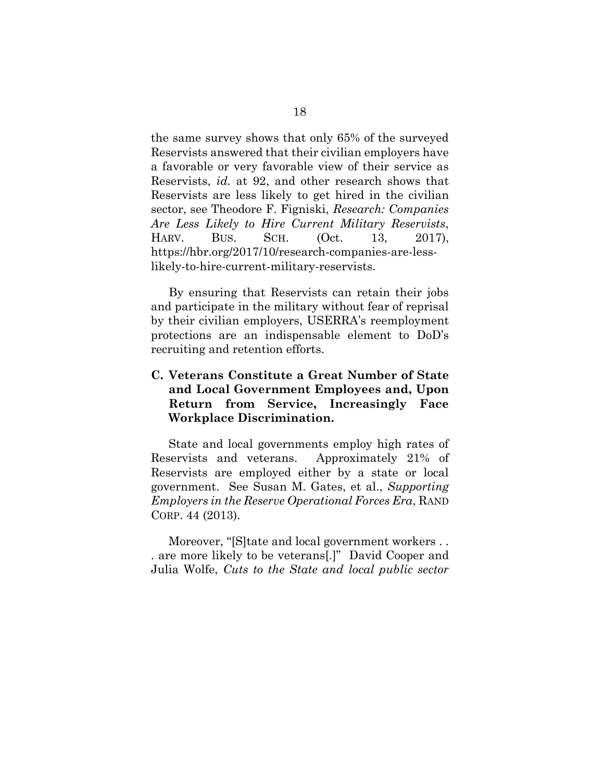<span id="page-27-1"></span>the same survey shows that only 65% of the surveyed Reservists answered that their civilian employers have a favorable or very favorable view of their service as Reservists, *id.* at 92, and other research shows that Reservists are less likely to get hired in the civilian sector, see Theodore F. Figniski, *Research: Companies Are Less Likely to Hire Current Military Reservists*, HARV. BUS. SCH. (Oct. 13, 2017), https://hbr.org/2017/10/research-companies-are-lesslikely-to-hire-current-military-reservists.

<span id="page-27-3"></span>By ensuring that Reservists can retain their jobs and participate in the military without fear of reprisal by their civilian employers, USERRA's reemployment protections are an indispensable element to DoD's recruiting and retention efforts.

## **C. Veterans Constitute a Great Number of State and Local Government Employees and, Upon Return from Service, Increasingly Face Workplace Discrimination.**

<span id="page-27-2"></span>State and local governments employ high rates of Reservists and veterans. Approximately 21% of Reservists are employed either by a state or local government. See Susan M. Gates, et al., *Supporting Employers in the Reserve Operational Forces Era*, RAND CORP. 44 (2013).

<span id="page-27-0"></span>Moreover, "[S]tate and local government workers . . . are more likely to be veterans[.]" David Cooper and Julia Wolfe, *Cuts to the State and local public sector*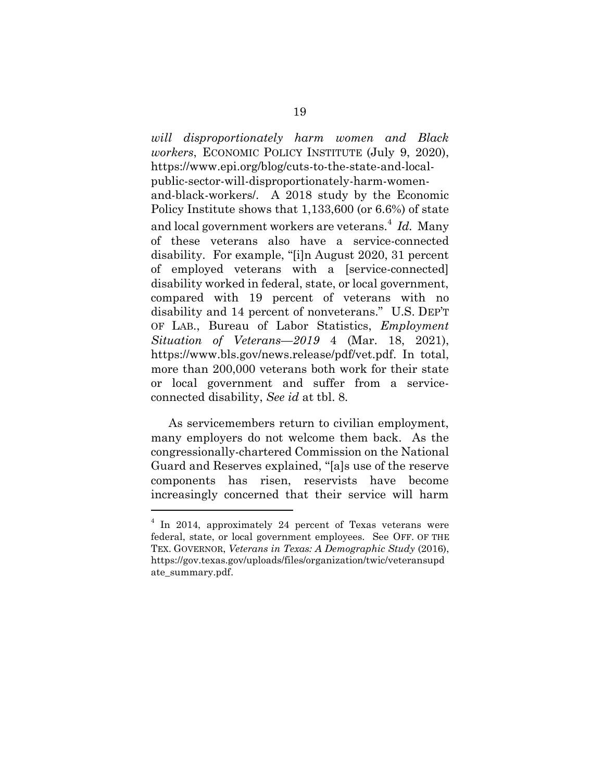<span id="page-28-0"></span>*will disproportionately harm women and Black workers*, ECONOMIC POLICY INSTITUTE (July 9, 2020), https://www.epi.org/blog/cuts-to-the-state-and-localpublic-sector-will-disproportionately-harm-womenand-black-workers/. A 2018 study by the Economic Policy Institute shows that 1,133,600 (or 6.6%) of state and local government workers are veterans.<sup>4</sup> *Id.* Many of these veterans also have a service-connected disability. For example, "[i]n August 2020, 31 percent of employed veterans with a [service-connected] disability worked in federal, state, or local government, compared with 19 percent of veterans with no disability and 14 percent of nonveterans." U.S. DEP'T OF LAB., Bureau of Labor Statistics, *Employment Situation of Veterans—2019* 4 (Mar. 18, 2021), https://www.bls.gov/news.release/pdf/vet.pdf. In total, more than 200,000 veterans both work for their state or local government and suffer from a serviceconnected disability, *See id* at tbl. 8*.*

<span id="page-28-1"></span>As servicemembers return to civilian employment, many employers do not welcome them back. As the congressionally-chartered Commission on the National Guard and Reserves explained, "[a]s use of the reserve components has risen, reservists have become increasingly concerned that their service will harm

<sup>&</sup>lt;sup>4</sup> In 2014, approximately 24 percent of Texas veterans were federal, state, or local government employees. See OFF. OF THE TEX. GOVERNOR, *Veterans in Texas: A Demographic Study* (2016), https://gov.texas.gov/uploads/files/organization/twic/veteransupd ate\_summary.pdf.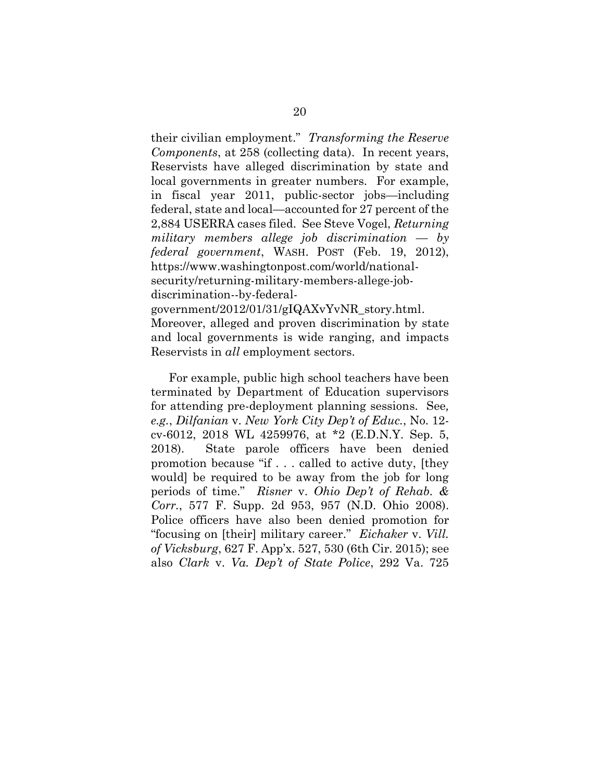<span id="page-29-5"></span><span id="page-29-4"></span>their civilian employment." *Transforming the Reserve Components*, at 258 (collecting data). In recent years, Reservists have alleged discrimination by state and local governments in greater numbers. For example, in fiscal year 2011, public-sector jobs—including federal, state and local—accounted for 27 percent of the 2,884 USERRA cases filed. See Steve Vogel, *Returning military members allege job discrimination* — *by federal government*, WASH. POST (Feb. 19, 2012), https://www.washingtonpost.com/world/nationalsecurity/returning-military-members-allege-jobdiscrimination--by-federalgovernment/2012/01/31/gIQAXvYvNR\_story.html. Moreover, alleged and proven discrimination by state and local governments is wide ranging, and impacts Reservists in *all* employment sectors.

<span id="page-29-3"></span><span id="page-29-2"></span><span id="page-29-1"></span><span id="page-29-0"></span>For example, public high school teachers have been terminated by Department of Education supervisors for attending pre-deployment planning sessions. See*, e.g.*, *Dilfanian* v. *New York City Dep't of Educ.*, No. 12 cv-6012, 2018 WL 4259976, at \*2 (E.D.N.Y. Sep. 5, 2018). State parole officers have been denied promotion because "if . . . called to active duty, [they would] be required to be away from the job for long periods of time." *Risner* v. *Ohio Dep't of Rehab. & Corr.*, 577 F. Supp. 2d 953, 957 (N.D. Ohio 2008). Police officers have also been denied promotion for "focusing on [their] military career." *Eichaker* v. *Vill. of Vicksburg*, 627 F. App'x. 527, 530 (6th Cir. 2015); see also *Clark* v. *Va. Dep't of State Police*, 292 Va. 725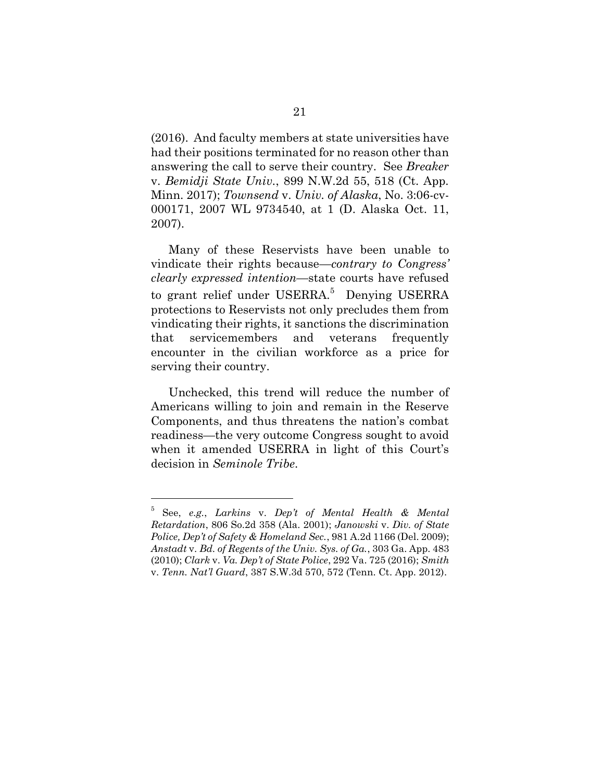<span id="page-30-6"></span><span id="page-30-1"></span>(2016). And faculty members at state universities have had their positions terminated for no reason other than answering the call to serve their country. See *Breaker*  v. *Bemidji State Univ.*, 899 N.W.2d 55, 518 (Ct. App. Minn. 2017); *Townsend* v. *Univ. of Alaska*, No. 3:06-cv-000171, 2007 WL 9734540, at 1 (D. Alaska Oct. 11, 2007).

Many of these Reservists have been unable to vindicate their rights because—*contrary to Congress' clearly expressed intention*—state courts have refused to grant relief under USERRA.<sup>5</sup> Denying USERRA protections to Reservists not only precludes them from vindicating their rights, it sanctions the discrimination that servicemembers and veterans frequently encounter in the civilian workforce as a price for serving their country.

Unchecked, this trend will reduce the number of Americans willing to join and remain in the Reserve Components, and thus threatens the nation's combat readiness—the very outcome Congress sought to avoid when it amended USERRA in light of this Court's decision in *Seminole Tribe*.

<span id="page-30-5"></span><span id="page-30-4"></span><span id="page-30-3"></span><span id="page-30-2"></span><span id="page-30-0"></span><sup>5</sup> See, *e.g.*, *Larkins* v. *Dep't of Mental Health & Mental Retardation*, 806 So.2d 358 (Ala. 2001); *Janowski* v. *Div. of State Police, Dep't of Safety & Homeland Sec.*, 981 A.2d 1166 (Del. 2009); *Anstadt* v. *Bd. of Regents of the Univ. Sys. of Ga.*, 303 Ga. App. 483 (2010); *Clark* v. *Va. Dep't of State Police*, 292 Va. 725 (2016); *Smith*  v. *Tenn. Nat'l Guard*, 387 S.W.3d 570, 572 (Tenn. Ct. App. 2012).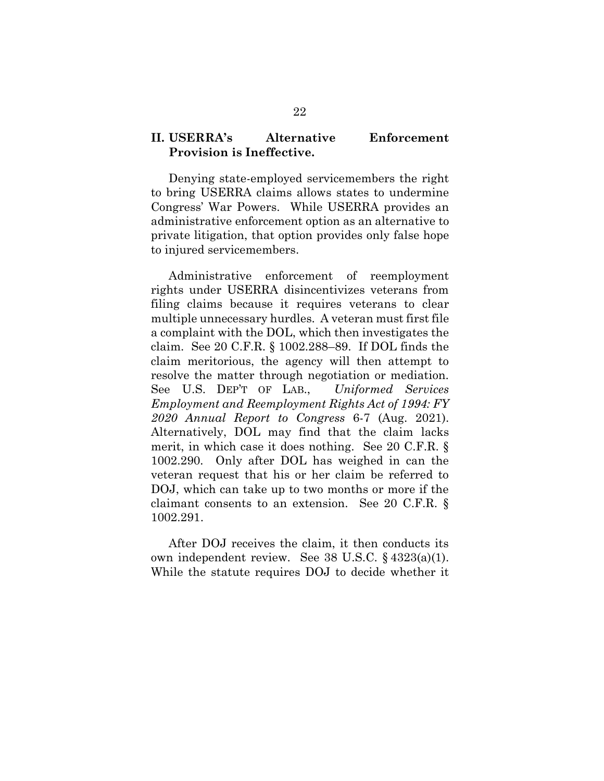## **II. USERRA's Alternative Enforcement Provision is Ineffective.**

Denying state-employed servicemembers the right to bring USERRA claims allows states to undermine Congress' War Powers. While USERRA provides an administrative enforcement option as an alternative to private litigation, that option provides only false hope to injured servicemembers.

<span id="page-31-4"></span><span id="page-31-1"></span>Administrative enforcement of reemployment rights under USERRA disincentivizes veterans from filing claims because it requires veterans to clear multiple unnecessary hurdles. A veteran must first file a complaint with the DOL, which then investigates the claim. See 20 C.F.R. § 1002.288–89. If DOL finds the claim meritorious, the agency will then attempt to resolve the matter through negotiation or mediation. See U.S. DEP'T OF LAB., *Uniformed Services Employment and Reemployment Rights Act of 1994: FY 2020 Annual Report to Congress* 6-7 (Aug. 2021). Alternatively, DOL may find that the claim lacks merit, in which case it does nothing. See 20 C.F.R. § 1002.290*.* Only after DOL has weighed in can the veteran request that his or her claim be referred to DOJ, which can take up to two months or more if the claimant consents to an extension. See 20 C.F.R. § 1002.291.

<span id="page-31-3"></span><span id="page-31-2"></span><span id="page-31-0"></span>After DOJ receives the claim, it then conducts its own independent review. See 38 U.S.C. § 4323(a)(1). While the statute requires DOJ to decide whether it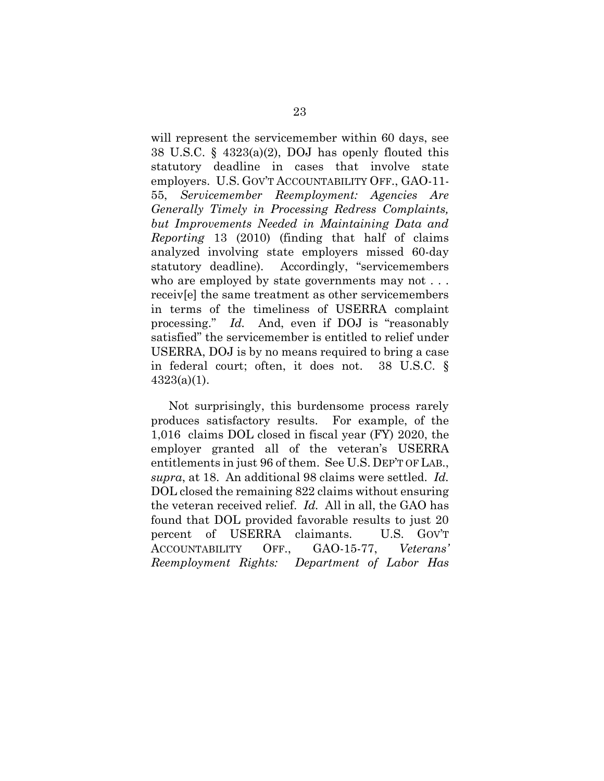<span id="page-32-3"></span><span id="page-32-1"></span>will represent the servicemember within 60 days, see 38 U.S.C. § 4323(a)(2), DOJ has openly flouted this statutory deadline in cases that involve state employers. U.S. GOV'T ACCOUNTABILITY OFF., GAO-11- 55, *Servicemember Reemployment: Agencies Are Generally Timely in Processing Redress Complaints, but Improvements Needed in Maintaining Data and Reporting* 13 (2010) (finding that half of claims analyzed involving state employers missed 60-day statutory deadline). Accordingly, "servicemembers who are employed by state governments may not . . . receiv[e] the same treatment as other servicemembers in terms of the timeliness of USERRA complaint processing." *Id.* And, even if DOJ is "reasonably satisfied" the servicemember is entitled to relief under USERRA, DOJ is by no means required to bring a case in federal court; often, it does not. 38 U.S.C. §  $4323(a)(1)$ .

<span id="page-32-4"></span><span id="page-32-2"></span><span id="page-32-0"></span>Not surprisingly, this burdensome process rarely produces satisfactory results. For example, of the 1,016 claims DOL closed in fiscal year (FY) 2020, the employer granted all of the veteran's USERRA entitlements in just 96 of them. See U.S. DEP'T OF LAB., *supra*, at 18. An additional 98 claims were settled. *Id.* DOL closed the remaining 822 claims without ensuring the veteran received relief. *Id.* All in all, the GAO has found that DOL provided favorable results to just 20 percent of USERRA claimants. U.S. GOV'T ACCOUNTABILITY OFF., GAO-15-77, *Veterans' Reemployment Rights: Department of Labor Has*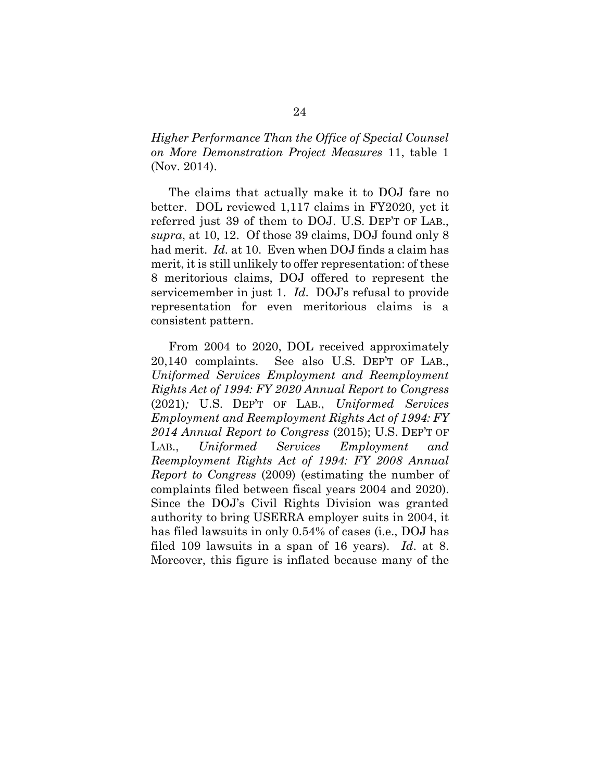*Higher Performance Than the Office of Special Counsel on More Demonstration Project Measures* 11, table 1 (Nov. 2014).

<span id="page-33-1"></span>The claims that actually make it to DOJ fare no better. DOL reviewed 1,117 claims in FY2020, yet it referred just 39 of them to DOJ. U.S. DEP'T OF LAB., *supra*, at 10, 12. Of those 39 claims, DOJ found only 8 had merit. *Id.* at 10. Even when DOJ finds a claim has merit, it is still unlikely to offer representation: of these 8 meritorious claims, DOJ offered to represent the servicemember in just 1. *Id*. DOJ's refusal to provide representation for even meritorious claims is a consistent pattern.

<span id="page-33-0"></span>From 2004 to 2020, DOL received approximately 20,140 complaints. See also U.S. DEP'T OF LAB., *Uniformed Services Employment and Reemployment Rights Act of 1994: FY 2020 Annual Report to Congress* (2021)*;* U.S. DEP'T OF LAB., *Uniformed Services Employment and Reemployment Rights Act of 1994: FY 2014 Annual Report to Congress* (2015); U.S. DEP'T OF LAB., *Uniformed Services Employment and Reemployment Rights Act of 1994: FY 2008 Annual Report to Congress* (2009) (estimating the number of complaints filed between fiscal years 2004 and 2020). Since the DOJ's Civil Rights Division was granted authority to bring USERRA employer suits in 2004, it has filed lawsuits in only 0.54% of cases (i.e., DOJ has filed 109 lawsuits in a span of 16 years). *Id*. at 8. Moreover, this figure is inflated because many of the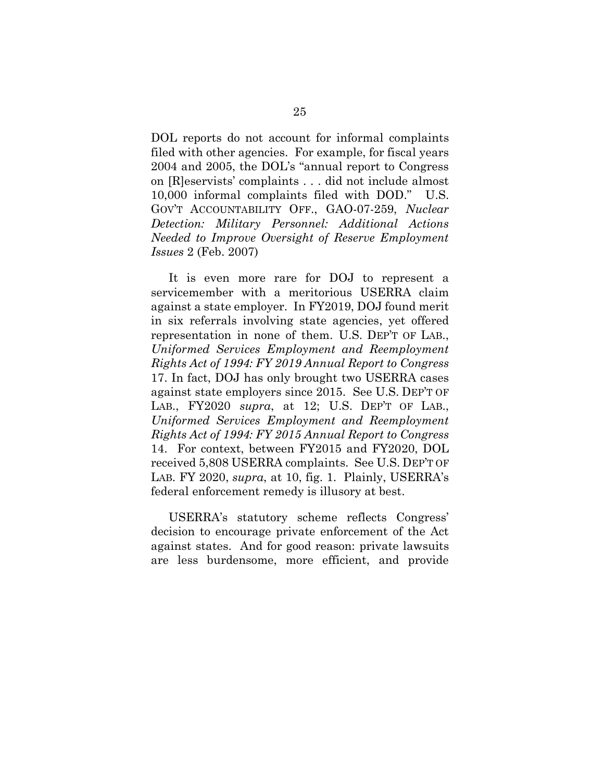DOL reports do not account for informal complaints filed with other agencies. For example, for fiscal years 2004 and 2005, the DOL's "annual report to Congress on [R]eservists' complaints . . . did not include almost 10,000 informal complaints filed with DOD." U.S. GOV'T ACCOUNTABILITY OFF., GAO-07-259, *Nuclear Detection: Military Personnel: Additional Actions Needed to Improve Oversight of Reserve Employment Issues* 2 (Feb. 2007)

It is even more rare for DOJ to represent a servicemember with a meritorious USERRA claim against a state employer. In FY2019, DOJ found merit in six referrals involving state agencies, yet offered representation in none of them. U.S. DEP'T OF LAB., *Uniformed Services Employment and Reemployment Rights Act of 1994: FY 2019 Annual Report to Congress* 17. In fact, DOJ has only brought two USERRA cases against state employers since 2015. See U.S. DEP'T OF LAB., FY2020 *supra*, at 12; U.S. DEP'T OF LAB., *Uniformed Services Employment and Reemployment Rights Act of 1994: FY 2015 Annual Report to Congress* 14. For context, between FY2015 and FY2020, DOL received 5,808 USERRA complaints. See U.S. DEP'T OF LAB. FY 2020, *supra*, at 10, fig. 1. Plainly, USERRA's federal enforcement remedy is illusory at best.

USERRA's statutory scheme reflects Congress' decision to encourage private enforcement of the Act against states. And for good reason: private lawsuits are less burdensome, more efficient, and provide